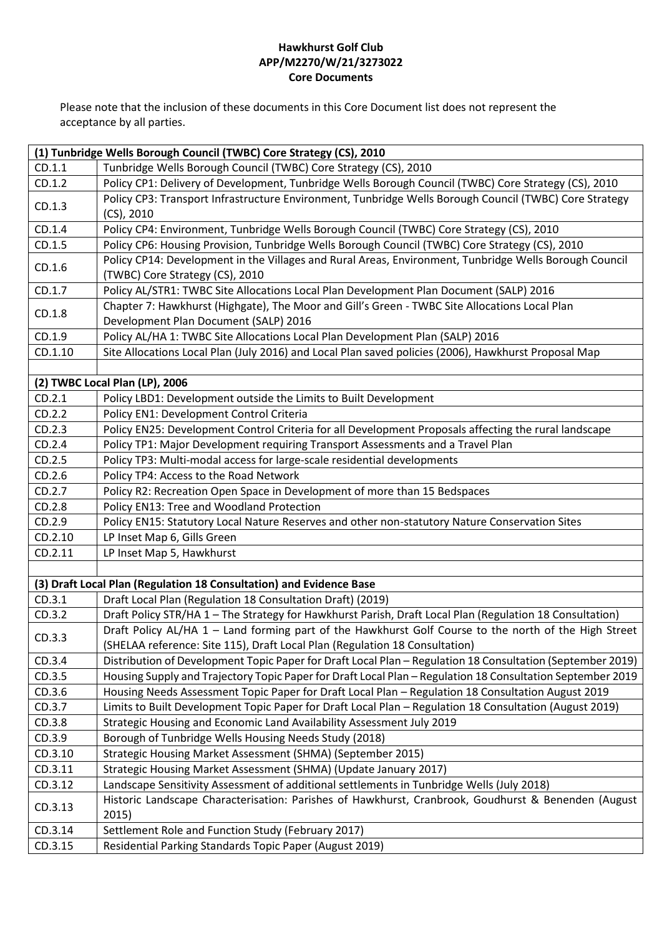| (1) Tunbridge Wells Borough Council (TWBC) Core Strategy (CS), 2010 |                                                                                                                                                                                      |
|---------------------------------------------------------------------|--------------------------------------------------------------------------------------------------------------------------------------------------------------------------------------|
| CD.1.1                                                              | Tunbridge Wells Borough Council (TWBC) Core Strategy (CS), 2010                                                                                                                      |
| CD.1.2                                                              | Policy CP1: Delivery of Development, Tunbridge Wells Borough Council (TWBC) Core Strategy (CS), 2010                                                                                 |
| CD.1.3                                                              | Policy CP3: Transport Infrastructure Environment, Tunbridge Wells Borough Council (TWBC) Core Strategy<br>$(CS)$ , 2010                                                              |
| CD.1.4                                                              | Policy CP4: Environment, Tunbridge Wells Borough Council (TWBC) Core Strategy (CS), 2010                                                                                             |
| CD.1.5                                                              | Policy CP6: Housing Provision, Tunbridge Wells Borough Council (TWBC) Core Strategy (CS), 2010                                                                                       |
| CD.1.6                                                              | Policy CP14: Development in the Villages and Rural Areas, Environment, Tunbridge Wells Borough Council<br>(TWBC) Core Strategy (CS), 2010                                            |
| CD.1.7                                                              | Policy AL/STR1: TWBC Site Allocations Local Plan Development Plan Document (SALP) 2016                                                                                               |
| CD.1.8                                                              | Chapter 7: Hawkhurst (Highgate), The Moor and Gill's Green - TWBC Site Allocations Local Plan<br>Development Plan Document (SALP) 2016                                               |
| CD.1.9                                                              | Policy AL/HA 1: TWBC Site Allocations Local Plan Development Plan (SALP) 2016                                                                                                        |
| CD.1.10                                                             | Site Allocations Local Plan (July 2016) and Local Plan saved policies (2006), Hawkhurst Proposal Map                                                                                 |
|                                                                     |                                                                                                                                                                                      |
|                                                                     | (2) TWBC Local Plan (LP), 2006                                                                                                                                                       |
| CD.2.1                                                              | Policy LBD1: Development outside the Limits to Built Development                                                                                                                     |
| CD.2.2                                                              | Policy EN1: Development Control Criteria                                                                                                                                             |
| CD.2.3                                                              | Policy EN25: Development Control Criteria for all Development Proposals affecting the rural landscape                                                                                |
| CD.2.4                                                              | Policy TP1: Major Development requiring Transport Assessments and a Travel Plan                                                                                                      |
| CD.2.5                                                              | Policy TP3: Multi-modal access for large-scale residential developments                                                                                                              |
| CD.2.6                                                              | Policy TP4: Access to the Road Network                                                                                                                                               |
| CD.2.7                                                              | Policy R2: Recreation Open Space in Development of more than 15 Bedspaces                                                                                                            |
| CD.2.8                                                              | Policy EN13: Tree and Woodland Protection                                                                                                                                            |
| CD.2.9                                                              | Policy EN15: Statutory Local Nature Reserves and other non-statutory Nature Conservation Sites                                                                                       |
| CD.2.10                                                             | LP Inset Map 6, Gills Green                                                                                                                                                          |
| CD.2.11                                                             | LP Inset Map 5, Hawkhurst                                                                                                                                                            |
|                                                                     |                                                                                                                                                                                      |
|                                                                     | (3) Draft Local Plan (Regulation 18 Consultation) and Evidence Base                                                                                                                  |
| CD.3.1                                                              | Draft Local Plan (Regulation 18 Consultation Draft) (2019)                                                                                                                           |
| CD.3.2                                                              | Draft Policy STR/HA 1 - The Strategy for Hawkhurst Parish, Draft Local Plan (Regulation 18 Consultation)                                                                             |
| CD.3.3                                                              | Draft Policy AL/HA 1 - Land forming part of the Hawkhurst Golf Course to the north of the High Street<br>(SHELAA reference: Site 115), Draft Local Plan (Regulation 18 Consultation) |
| CD.3.4                                                              | Distribution of Development Topic Paper for Draft Local Plan - Regulation 18 Consultation (September 2019)                                                                           |
| CD.3.5                                                              | Housing Supply and Trajectory Topic Paper for Draft Local Plan - Regulation 18 Consultation September 2019                                                                           |
| CD.3.6                                                              | Housing Needs Assessment Topic Paper for Draft Local Plan - Regulation 18 Consultation August 2019                                                                                   |
| CD.3.7                                                              | Limits to Built Development Topic Paper for Draft Local Plan - Regulation 18 Consultation (August 2019)                                                                              |
| CD.3.8                                                              | Strategic Housing and Economic Land Availability Assessment July 2019                                                                                                                |
| CD.3.9                                                              | Borough of Tunbridge Wells Housing Needs Study (2018)                                                                                                                                |
| CD.3.10                                                             | Strategic Housing Market Assessment (SHMA) (September 2015)                                                                                                                          |
| CD.3.11                                                             | Strategic Housing Market Assessment (SHMA) (Update January 2017)                                                                                                                     |
| CD.3.12                                                             | Landscape Sensitivity Assessment of additional settlements in Tunbridge Wells (July 2018)                                                                                            |
| CD.3.13                                                             | Historic Landscape Characterisation: Parishes of Hawkhurst, Cranbrook, Goudhurst & Benenden (August<br>2015)                                                                         |
| CD.3.14                                                             | Settlement Role and Function Study (February 2017)                                                                                                                                   |
| CD.3.15                                                             | Residential Parking Standards Topic Paper (August 2019)                                                                                                                              |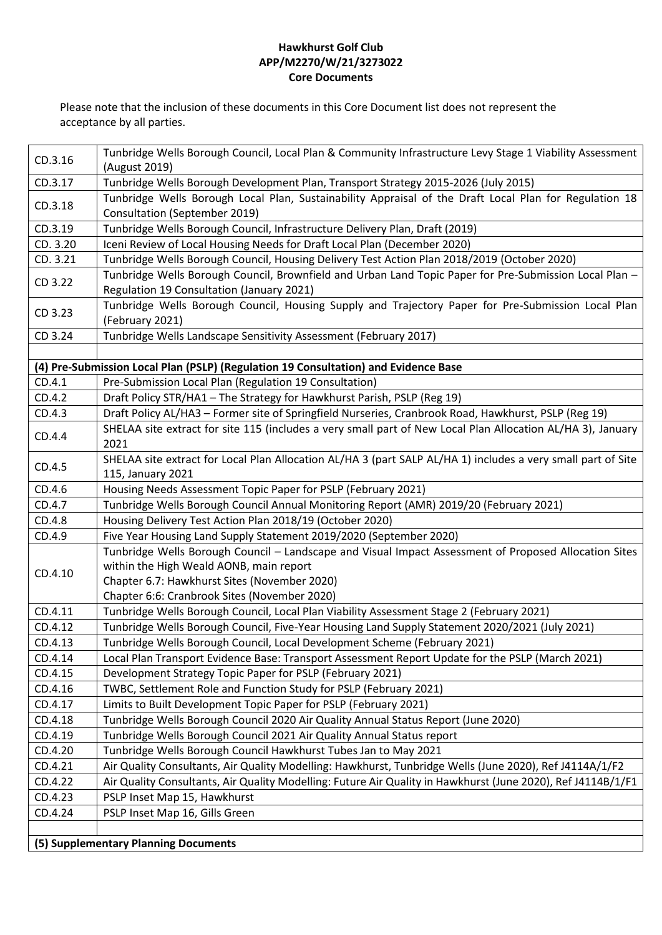| CD.3.16  | Tunbridge Wells Borough Council, Local Plan & Community Infrastructure Levy Stage 1 Viability Assessment<br>(August 2019) |
|----------|---------------------------------------------------------------------------------------------------------------------------|
| CD.3.17  | Tunbridge Wells Borough Development Plan, Transport Strategy 2015-2026 (July 2015)                                        |
| CD.3.18  | Tunbridge Wells Borough Local Plan, Sustainability Appraisal of the Draft Local Plan for Regulation 18                    |
|          | Consultation (September 2019)                                                                                             |
| CD.3.19  | Tunbridge Wells Borough Council, Infrastructure Delivery Plan, Draft (2019)                                               |
| CD. 3.20 | Iceni Review of Local Housing Needs for Draft Local Plan (December 2020)                                                  |
| CD. 3.21 | Tunbridge Wells Borough Council, Housing Delivery Test Action Plan 2018/2019 (October 2020)                               |
|          | Tunbridge Wells Borough Council, Brownfield and Urban Land Topic Paper for Pre-Submission Local Plan -                    |
| CD 3.22  | Regulation 19 Consultation (January 2021)                                                                                 |
| CD 3.23  | Tunbridge Wells Borough Council, Housing Supply and Trajectory Paper for Pre-Submission Local Plan                        |
|          | (February 2021)                                                                                                           |
| CD 3.24  | Tunbridge Wells Landscape Sensitivity Assessment (February 2017)                                                          |
|          |                                                                                                                           |
|          | (4) Pre-Submission Local Plan (PSLP) (Regulation 19 Consultation) and Evidence Base                                       |
| CD.4.1   | Pre-Submission Local Plan (Regulation 19 Consultation)                                                                    |
| CD.4.2   | Draft Policy STR/HA1 - The Strategy for Hawkhurst Parish, PSLP (Reg 19)                                                   |
| CD.4.3   | Draft Policy AL/HA3 - Former site of Springfield Nurseries, Cranbrook Road, Hawkhurst, PSLP (Reg 19)                      |
| CD.4.4   | SHELAA site extract for site 115 (includes a very small part of New Local Plan Allocation AL/HA 3), January               |
|          | 2021                                                                                                                      |
| CD.4.5   | SHELAA site extract for Local Plan Allocation AL/HA 3 (part SALP AL/HA 1) includes a very small part of Site              |
|          | 115, January 2021                                                                                                         |
| CD.4.6   | Housing Needs Assessment Topic Paper for PSLP (February 2021)                                                             |
| CD.4.7   | Tunbridge Wells Borough Council Annual Monitoring Report (AMR) 2019/20 (February 2021)                                    |
| CD.4.8   | Housing Delivery Test Action Plan 2018/19 (October 2020)                                                                  |
| CD.4.9   | Five Year Housing Land Supply Statement 2019/2020 (September 2020)                                                        |
|          | Tunbridge Wells Borough Council - Landscape and Visual Impact Assessment of Proposed Allocation Sites                     |
| CD.4.10  | within the High Weald AONB, main report                                                                                   |
|          | Chapter 6.7: Hawkhurst Sites (November 2020)                                                                              |
|          | Chapter 6:6: Cranbrook Sites (November 2020)                                                                              |
| CD.4.11  | Tunbridge Wells Borough Council, Local Plan Viability Assessment Stage 2 (February 2021)                                  |
| CD.4.12  | Tunbridge Wells Borough Council, Five-Year Housing Land Supply Statement 2020/2021 (July 2021)                            |
| CD.4.13  | Tunbridge Wells Borough Council, Local Development Scheme (February 2021)                                                 |
| CD.4.14  | Local Plan Transport Evidence Base: Transport Assessment Report Update for the PSLP (March 2021)                          |
| CD.4.15  | Development Strategy Topic Paper for PSLP (February 2021)                                                                 |
| CD.4.16  | TWBC, Settlement Role and Function Study for PSLP (February 2021)                                                         |
| CD.4.17  | Limits to Built Development Topic Paper for PSLP (February 2021)                                                          |
| CD.4.18  | Tunbridge Wells Borough Council 2020 Air Quality Annual Status Report (June 2020)                                         |
| CD.4.19  | Tunbridge Wells Borough Council 2021 Air Quality Annual Status report                                                     |
| CD.4.20  | Tunbridge Wells Borough Council Hawkhurst Tubes Jan to May 2021                                                           |
| CD.4.21  | Air Quality Consultants, Air Quality Modelling: Hawkhurst, Tunbridge Wells (June 2020), Ref J4114A/1/F2                   |
| CD.4.22  | Air Quality Consultants, Air Quality Modelling: Future Air Quality in Hawkhurst (June 2020), Ref J4114B/1/F1              |
| CD.4.23  | PSLP Inset Map 15, Hawkhurst                                                                                              |
| CD.4.24  | PSLP Inset Map 16, Gills Green                                                                                            |
|          |                                                                                                                           |
|          | (5) Supplementary Planning Documents                                                                                      |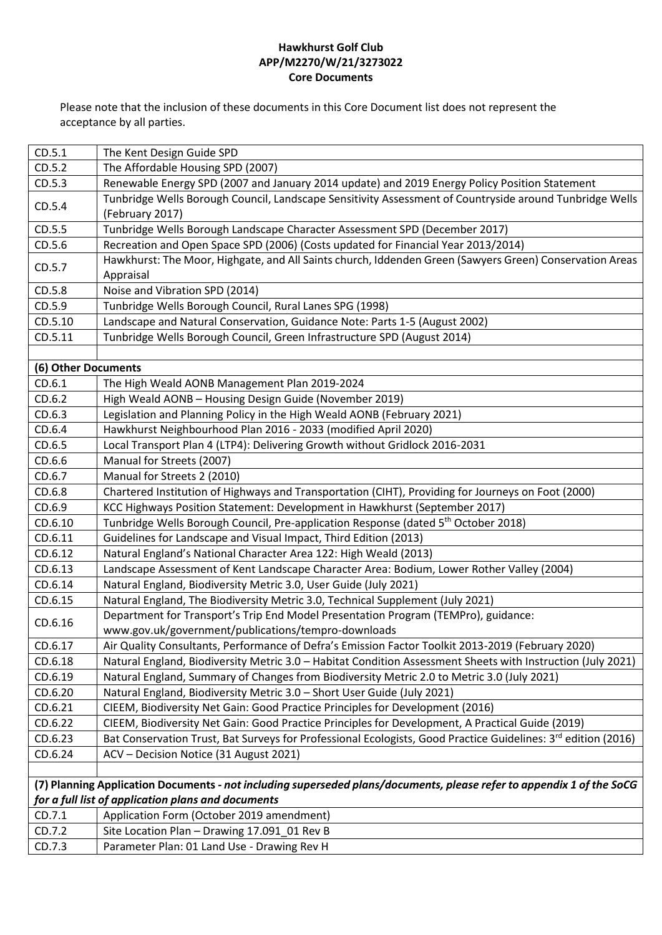| CD.5.1              | The Kent Design Guide SPD                                                                                             |
|---------------------|-----------------------------------------------------------------------------------------------------------------------|
| CD.5.2              | The Affordable Housing SPD (2007)                                                                                     |
| CD.5.3              | Renewable Energy SPD (2007 and January 2014 update) and 2019 Energy Policy Position Statement                         |
| CD.5.4              | Tunbridge Wells Borough Council, Landscape Sensitivity Assessment of Countryside around Tunbridge Wells               |
|                     | (February 2017)                                                                                                       |
| CD.5.5              | Tunbridge Wells Borough Landscape Character Assessment SPD (December 2017)                                            |
| CD.5.6              | Recreation and Open Space SPD (2006) (Costs updated for Financial Year 2013/2014)                                     |
| CD.5.7              | Hawkhurst: The Moor, Highgate, and All Saints church, Iddenden Green (Sawyers Green) Conservation Areas               |
|                     | Appraisal                                                                                                             |
| CD.5.8              | Noise and Vibration SPD (2014)                                                                                        |
| CD.5.9              | Tunbridge Wells Borough Council, Rural Lanes SPG (1998)                                                               |
| CD.5.10             | Landscape and Natural Conservation, Guidance Note: Parts 1-5 (August 2002)                                            |
| CD.5.11             | Tunbridge Wells Borough Council, Green Infrastructure SPD (August 2014)                                               |
|                     |                                                                                                                       |
| (6) Other Documents |                                                                                                                       |
| CD.6.1              | The High Weald AONB Management Plan 2019-2024                                                                         |
| CD.6.2              | High Weald AONB - Housing Design Guide (November 2019)                                                                |
| CD.6.3              | Legislation and Planning Policy in the High Weald AONB (February 2021)                                                |
| CD.6.4              | Hawkhurst Neighbourhood Plan 2016 - 2033 (modified April 2020)                                                        |
| CD.6.5              | Local Transport Plan 4 (LTP4): Delivering Growth without Gridlock 2016-2031                                           |
| CD.6.6              | Manual for Streets (2007)                                                                                             |
| CD.6.7              | Manual for Streets 2 (2010)                                                                                           |
| CD.6.8              | Chartered Institution of Highways and Transportation (CIHT), Providing for Journeys on Foot (2000)                    |
| CD.6.9              | KCC Highways Position Statement: Development in Hawkhurst (September 2017)                                            |
| CD.6.10             | Tunbridge Wells Borough Council, Pre-application Response (dated 5 <sup>th</sup> October 2018)                        |
| CD.6.11             | Guidelines for Landscape and Visual Impact, Third Edition (2013)                                                      |
| CD.6.12             | Natural England's National Character Area 122: High Weald (2013)                                                      |
| CD.6.13             | Landscape Assessment of Kent Landscape Character Area: Bodium, Lower Rother Valley (2004)                             |
| CD.6.14             | Natural England, Biodiversity Metric 3.0, User Guide (July 2021)                                                      |
| CD.6.15             | Natural England, The Biodiversity Metric 3.0, Technical Supplement (July 2021)                                        |
| CD.6.16             | Department for Transport's Trip End Model Presentation Program (TEMPro), guidance:                                    |
|                     | www.gov.uk/government/publications/tempro-downloads                                                                   |
| CD.6.17             | Air Quality Consultants, Performance of Defra's Emission Factor Toolkit 2013-2019 (February 2020)                     |
| CD.6.18             | Natural England, Biodiversity Metric 3.0 - Habitat Condition Assessment Sheets with Instruction (July 2021)           |
| CD.6.19             | Natural England, Summary of Changes from Biodiversity Metric 2.0 to Metric 3.0 (July 2021)                            |
| CD.6.20             | Natural England, Biodiversity Metric 3.0 - Short User Guide (July 2021)                                               |
| CD.6.21             | CIEEM, Biodiversity Net Gain: Good Practice Principles for Development (2016)                                         |
| CD.6.22             | CIEEM, Biodiversity Net Gain: Good Practice Principles for Development, A Practical Guide (2019)                      |
| CD.6.23             | Bat Conservation Trust, Bat Surveys for Professional Ecologists, Good Practice Guidelines: 3rd edition (2016)         |
| CD.6.24             | ACV - Decision Notice (31 August 2021)                                                                                |
|                     |                                                                                                                       |
|                     | (7) Planning Application Documents - not including superseded plans/documents, please refer to appendix 1 of the SoCG |
|                     | for a full list of application plans and documents                                                                    |
| CD.7.1              | Application Form (October 2019 amendment)                                                                             |
| CD.7.2              | Site Location Plan - Drawing 17.091_01 Rev B                                                                          |
| CD.7.3              | Parameter Plan: 01 Land Use - Drawing Rev H                                                                           |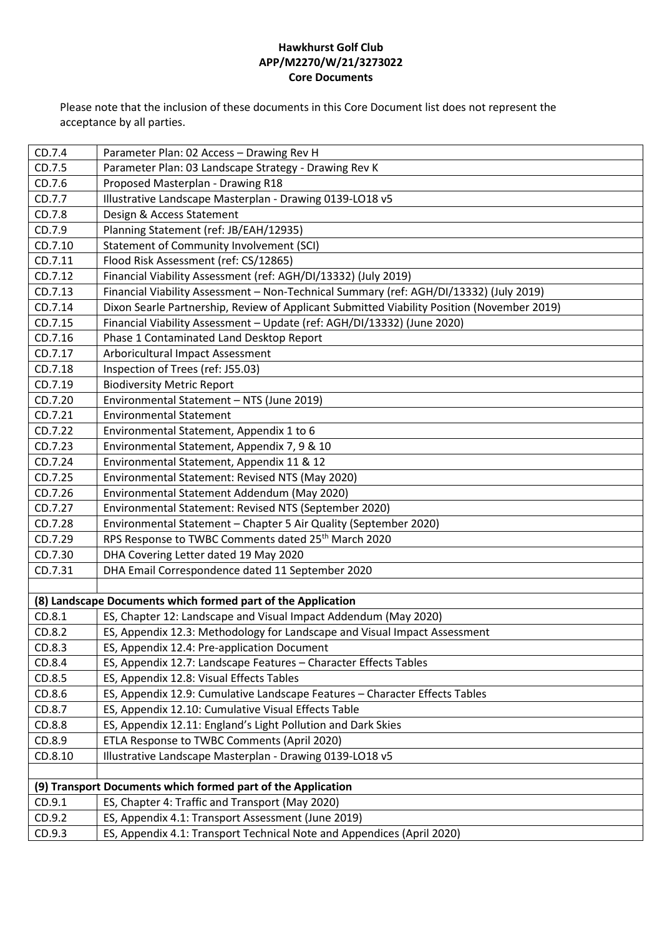| CD.7.4<br>Parameter Plan: 02 Access - Drawing Rev H<br>Parameter Plan: 03 Landscape Strategy - Drawing Rev K<br>CD.7.5<br>CD.7.6<br>Proposed Masterplan - Drawing R18<br>CD.7.7<br>Illustrative Landscape Masterplan - Drawing 0139-LO18 v5<br>Design & Access Statement<br>CD.7.8<br>CD.7.9<br>Planning Statement (ref: JB/EAH/12935)<br>CD.7.10<br>Statement of Community Involvement (SCI)<br>CD.7.11<br>Flood Risk Assessment (ref: CS/12865) |
|---------------------------------------------------------------------------------------------------------------------------------------------------------------------------------------------------------------------------------------------------------------------------------------------------------------------------------------------------------------------------------------------------------------------------------------------------|
|                                                                                                                                                                                                                                                                                                                                                                                                                                                   |
|                                                                                                                                                                                                                                                                                                                                                                                                                                                   |
|                                                                                                                                                                                                                                                                                                                                                                                                                                                   |
|                                                                                                                                                                                                                                                                                                                                                                                                                                                   |
|                                                                                                                                                                                                                                                                                                                                                                                                                                                   |
|                                                                                                                                                                                                                                                                                                                                                                                                                                                   |
|                                                                                                                                                                                                                                                                                                                                                                                                                                                   |
|                                                                                                                                                                                                                                                                                                                                                                                                                                                   |
| Financial Viability Assessment (ref: AGH/DI/13332) (July 2019)<br>CD.7.12                                                                                                                                                                                                                                                                                                                                                                         |
| CD.7.13<br>Financial Viability Assessment - Non-Technical Summary (ref: AGH/DI/13332) (July 2019)                                                                                                                                                                                                                                                                                                                                                 |
| Dixon Searle Partnership, Review of Applicant Submitted Viability Position (November 2019)<br>CD.7.14                                                                                                                                                                                                                                                                                                                                             |
| Financial Viability Assessment - Update (ref: AGH/DI/13332) (June 2020)<br>CD.7.15                                                                                                                                                                                                                                                                                                                                                                |
| CD.7.16<br>Phase 1 Contaminated Land Desktop Report                                                                                                                                                                                                                                                                                                                                                                                               |
| CD.7.17<br>Arboricultural Impact Assessment                                                                                                                                                                                                                                                                                                                                                                                                       |
| Inspection of Trees (ref: J55.03)<br>CD.7.18                                                                                                                                                                                                                                                                                                                                                                                                      |
| CD.7.19<br><b>Biodiversity Metric Report</b>                                                                                                                                                                                                                                                                                                                                                                                                      |
| CD.7.20<br>Environmental Statement - NTS (June 2019)                                                                                                                                                                                                                                                                                                                                                                                              |
| CD.7.21<br><b>Environmental Statement</b>                                                                                                                                                                                                                                                                                                                                                                                                         |
| CD.7.22<br>Environmental Statement, Appendix 1 to 6                                                                                                                                                                                                                                                                                                                                                                                               |
| CD.7.23<br>Environmental Statement, Appendix 7, 9 & 10                                                                                                                                                                                                                                                                                                                                                                                            |
| CD.7.24<br>Environmental Statement, Appendix 11 & 12                                                                                                                                                                                                                                                                                                                                                                                              |
| Environmental Statement: Revised NTS (May 2020)<br>CD.7.25                                                                                                                                                                                                                                                                                                                                                                                        |
| CD.7.26<br>Environmental Statement Addendum (May 2020)                                                                                                                                                                                                                                                                                                                                                                                            |
| CD.7.27<br>Environmental Statement: Revised NTS (September 2020)                                                                                                                                                                                                                                                                                                                                                                                  |
| Environmental Statement - Chapter 5 Air Quality (September 2020)<br>CD.7.28                                                                                                                                                                                                                                                                                                                                                                       |
| RPS Response to TWBC Comments dated 25 <sup>th</sup> March 2020<br>CD.7.29                                                                                                                                                                                                                                                                                                                                                                        |
| DHA Covering Letter dated 19 May 2020<br>CD.7.30                                                                                                                                                                                                                                                                                                                                                                                                  |
| DHA Email Correspondence dated 11 September 2020<br>CD.7.31                                                                                                                                                                                                                                                                                                                                                                                       |
|                                                                                                                                                                                                                                                                                                                                                                                                                                                   |
| (8) Landscape Documents which formed part of the Application                                                                                                                                                                                                                                                                                                                                                                                      |
| ES, Chapter 12: Landscape and Visual Impact Addendum (May 2020)<br>CD.8.1                                                                                                                                                                                                                                                                                                                                                                         |
| CD.8.2<br>ES, Appendix 12.3: Methodology for Landscape and Visual Impact Assessment                                                                                                                                                                                                                                                                                                                                                               |
| CD.8.3<br>ES, Appendix 12.4: Pre-application Document                                                                                                                                                                                                                                                                                                                                                                                             |
| CD.8.4<br>ES, Appendix 12.7: Landscape Features - Character Effects Tables                                                                                                                                                                                                                                                                                                                                                                        |
| CD.8.5<br>ES, Appendix 12.8: Visual Effects Tables                                                                                                                                                                                                                                                                                                                                                                                                |
| CD.8.6<br>ES, Appendix 12.9: Cumulative Landscape Features - Character Effects Tables                                                                                                                                                                                                                                                                                                                                                             |
| CD.8.7<br>ES, Appendix 12.10: Cumulative Visual Effects Table                                                                                                                                                                                                                                                                                                                                                                                     |
| CD.8.8<br>ES, Appendix 12.11: England's Light Pollution and Dark Skies                                                                                                                                                                                                                                                                                                                                                                            |
| CD.8.9<br>ETLA Response to TWBC Comments (April 2020)                                                                                                                                                                                                                                                                                                                                                                                             |
| CD.8.10<br>Illustrative Landscape Masterplan - Drawing 0139-LO18 v5                                                                                                                                                                                                                                                                                                                                                                               |
|                                                                                                                                                                                                                                                                                                                                                                                                                                                   |
| (9) Transport Documents which formed part of the Application                                                                                                                                                                                                                                                                                                                                                                                      |
| ES, Chapter 4: Traffic and Transport (May 2020)<br>CD.9.1                                                                                                                                                                                                                                                                                                                                                                                         |
| CD.9.2<br>ES, Appendix 4.1: Transport Assessment (June 2019)                                                                                                                                                                                                                                                                                                                                                                                      |
| CD.9.3<br>ES, Appendix 4.1: Transport Technical Note and Appendices (April 2020)                                                                                                                                                                                                                                                                                                                                                                  |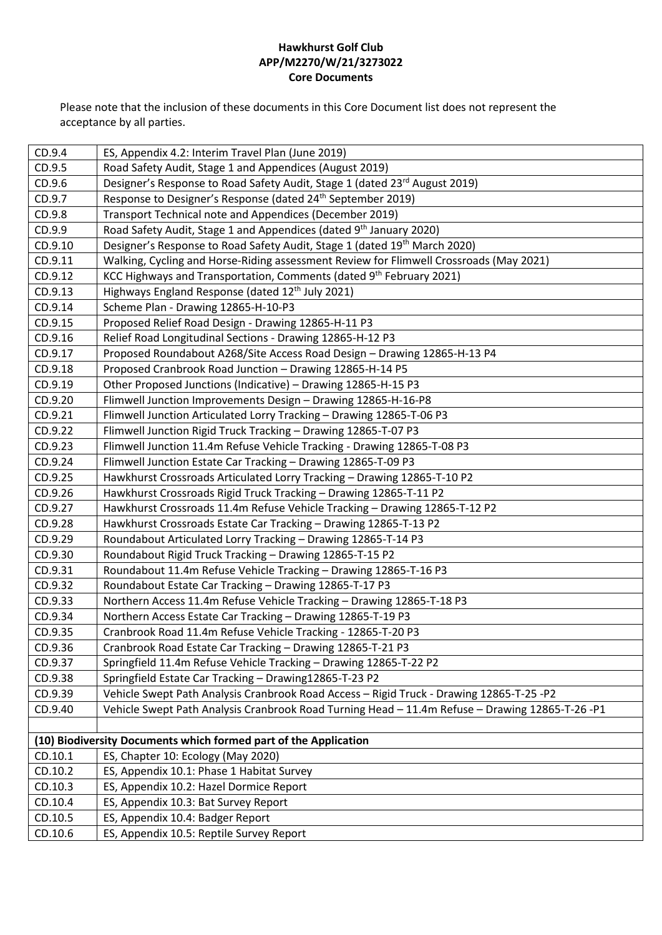| CD.9.4  | ES, Appendix 4.2: Interim Travel Plan (June 2019)                                               |
|---------|-------------------------------------------------------------------------------------------------|
| CD.9.5  | Road Safety Audit, Stage 1 and Appendices (August 2019)                                         |
| CD.9.6  | Designer's Response to Road Safety Audit, Stage 1 (dated 23rd August 2019)                      |
| CD.9.7  | Response to Designer's Response (dated 24 <sup>th</sup> September 2019)                         |
| CD.9.8  | Transport Technical note and Appendices (December 2019)                                         |
| CD.9.9  | Road Safety Audit, Stage 1 and Appendices (dated 9 <sup>th</sup> January 2020)                  |
| CD.9.10 | Designer's Response to Road Safety Audit, Stage 1 (dated 19 <sup>th</sup> March 2020)           |
| CD.9.11 | Walking, Cycling and Horse-Riding assessment Review for Flimwell Crossroads (May 2021)          |
| CD.9.12 | KCC Highways and Transportation, Comments (dated 9th February 2021)                             |
| CD.9.13 | Highways England Response (dated 12th July 2021)                                                |
| CD.9.14 | Scheme Plan - Drawing 12865-H-10-P3                                                             |
| CD.9.15 | Proposed Relief Road Design - Drawing 12865-H-11 P3                                             |
| CD.9.16 | Relief Road Longitudinal Sections - Drawing 12865-H-12 P3                                       |
| CD.9.17 | Proposed Roundabout A268/Site Access Road Design - Drawing 12865-H-13 P4                        |
| CD.9.18 | Proposed Cranbrook Road Junction - Drawing 12865-H-14 P5                                        |
| CD.9.19 | Other Proposed Junctions (Indicative) - Drawing 12865-H-15 P3                                   |
| CD.9.20 | Flimwell Junction Improvements Design - Drawing 12865-H-16-P8                                   |
| CD.9.21 | Flimwell Junction Articulated Lorry Tracking - Drawing 12865-T-06 P3                            |
| CD.9.22 | Flimwell Junction Rigid Truck Tracking - Drawing 12865-T-07 P3                                  |
| CD.9.23 | Flimwell Junction 11.4m Refuse Vehicle Tracking - Drawing 12865-T-08 P3                         |
| CD.9.24 | Flimwell Junction Estate Car Tracking - Drawing 12865-T-09 P3                                   |
| CD.9.25 | Hawkhurst Crossroads Articulated Lorry Tracking - Drawing 12865-T-10 P2                         |
| CD.9.26 | Hawkhurst Crossroads Rigid Truck Tracking - Drawing 12865-T-11 P2                               |
| CD.9.27 | Hawkhurst Crossroads 11.4m Refuse Vehicle Tracking - Drawing 12865-T-12 P2                      |
| CD.9.28 | Hawkhurst Crossroads Estate Car Tracking - Drawing 12865-T-13 P2                                |
| CD.9.29 | Roundabout Articulated Lorry Tracking - Drawing 12865-T-14 P3                                   |
| CD.9.30 | Roundabout Rigid Truck Tracking - Drawing 12865-T-15 P2                                         |
| CD.9.31 | Roundabout 11.4m Refuse Vehicle Tracking - Drawing 12865-T-16 P3                                |
| CD.9.32 | Roundabout Estate Car Tracking - Drawing 12865-T-17 P3                                          |
| CD.9.33 | Northern Access 11.4m Refuse Vehicle Tracking - Drawing 12865-T-18 P3                           |
| CD.9.34 | Northern Access Estate Car Tracking - Drawing 12865-T-19 P3                                     |
| CD.9.35 | Cranbrook Road 11.4m Refuse Vehicle Tracking - 12865-T-20 P3                                    |
| CD.9.36 | Cranbrook Road Estate Car Tracking - Drawing 12865-T-21 P3                                      |
| CD.9.37 | Springfield 11.4m Refuse Vehicle Tracking - Drawing 12865-T-22 P2                               |
| CD.9.38 | Springfield Estate Car Tracking - Drawing12865-T-23 P2                                          |
| CD.9.39 | Vehicle Swept Path Analysis Cranbrook Road Access - Rigid Truck - Drawing 12865-T-25 -P2        |
| CD.9.40 | Vehicle Swept Path Analysis Cranbrook Road Turning Head - 11.4m Refuse - Drawing 12865-T-26 -P1 |
|         |                                                                                                 |
|         | (10) Biodiversity Documents which formed part of the Application                                |
| CD.10.1 | ES, Chapter 10: Ecology (May 2020)                                                              |
| CD.10.2 | ES, Appendix 10.1: Phase 1 Habitat Survey                                                       |
| CD.10.3 | ES, Appendix 10.2: Hazel Dormice Report                                                         |
| CD.10.4 | ES, Appendix 10.3: Bat Survey Report                                                            |
| CD.10.5 | ES, Appendix 10.4: Badger Report                                                                |
| CD.10.6 | ES, Appendix 10.5: Reptile Survey Report                                                        |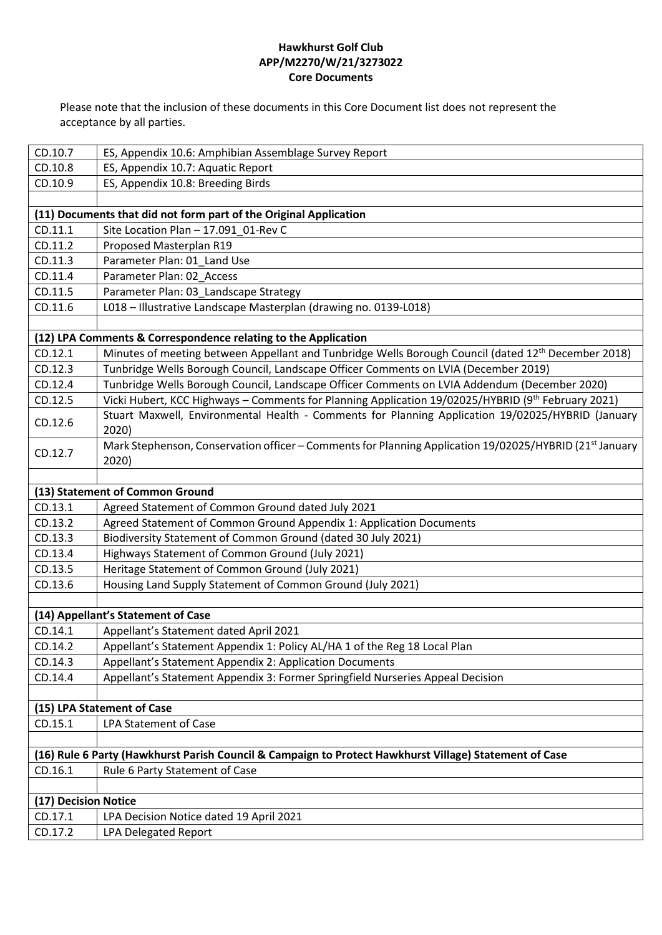| CD.10.7                                                                                                | ES, Appendix 10.6: Amphibian Assemblage Survey Report                                                               |
|--------------------------------------------------------------------------------------------------------|---------------------------------------------------------------------------------------------------------------------|
| CD.10.8                                                                                                | ES, Appendix 10.7: Aquatic Report                                                                                   |
| CD.10.9                                                                                                | ES, Appendix 10.8: Breeding Birds                                                                                   |
|                                                                                                        |                                                                                                                     |
|                                                                                                        | (11) Documents that did not form part of the Original Application                                                   |
| CD.11.1                                                                                                | Site Location Plan - 17.091_01-Rev C                                                                                |
| CD.11.2                                                                                                | Proposed Masterplan R19                                                                                             |
| CD.11.3                                                                                                | Parameter Plan: 01 Land Use                                                                                         |
| CD.11.4                                                                                                | Parameter Plan: 02 Access                                                                                           |
| CD.11.5                                                                                                | Parameter Plan: 03_Landscape Strategy                                                                               |
| CD.11.6                                                                                                | L018 - Illustrative Landscape Masterplan (drawing no. 0139-L018)                                                    |
|                                                                                                        |                                                                                                                     |
|                                                                                                        | (12) LPA Comments & Correspondence relating to the Application                                                      |
| CD.12.1                                                                                                | Minutes of meeting between Appellant and Tunbridge Wells Borough Council (dated 12 <sup>th</sup> December 2018)     |
| CD.12.3                                                                                                | Tunbridge Wells Borough Council, Landscape Officer Comments on LVIA (December 2019)                                 |
| CD.12.4                                                                                                | Tunbridge Wells Borough Council, Landscape Officer Comments on LVIA Addendum (December 2020)                        |
| CD.12.5                                                                                                | Vicki Hubert, KCC Highways - Comments for Planning Application 19/02025/HYBRID (9th February 2021)                  |
| CD.12.6                                                                                                | Stuart Maxwell, Environmental Health - Comments for Planning Application 19/02025/HYBRID (January                   |
|                                                                                                        | 2020)                                                                                                               |
| CD.12.7                                                                                                | Mark Stephenson, Conservation officer - Comments for Planning Application 19/02025/HYBRID (21 <sup>st</sup> January |
|                                                                                                        | 2020)                                                                                                               |
|                                                                                                        |                                                                                                                     |
|                                                                                                        | (13) Statement of Common Ground                                                                                     |
| CD.13.1                                                                                                | Agreed Statement of Common Ground dated July 2021                                                                   |
| CD.13.2                                                                                                | Agreed Statement of Common Ground Appendix 1: Application Documents                                                 |
| CD.13.3                                                                                                | Biodiversity Statement of Common Ground (dated 30 July 2021)                                                        |
| CD.13.4                                                                                                | Highways Statement of Common Ground (July 2021)                                                                     |
| CD.13.5                                                                                                | Heritage Statement of Common Ground (July 2021)                                                                     |
| CD.13.6                                                                                                | Housing Land Supply Statement of Common Ground (July 2021)                                                          |
|                                                                                                        | (14) Appellant's Statement of Case                                                                                  |
| CD.14.1                                                                                                | Appellant's Statement dated April 2021                                                                              |
| CD.14.2                                                                                                | Appellant's Statement Appendix 1: Policy AL/HA 1 of the Reg 18 Local Plan                                           |
| CD.14.3                                                                                                | Appellant's Statement Appendix 2: Application Documents                                                             |
| CD.14.4                                                                                                | Appellant's Statement Appendix 3: Former Springfield Nurseries Appeal Decision                                      |
|                                                                                                        |                                                                                                                     |
|                                                                                                        | (15) LPA Statement of Case                                                                                          |
| CD.15.1                                                                                                | <b>LPA Statement of Case</b>                                                                                        |
|                                                                                                        |                                                                                                                     |
| (16) Rule 6 Party (Hawkhurst Parish Council & Campaign to Protect Hawkhurst Village) Statement of Case |                                                                                                                     |
| CD.16.1                                                                                                | Rule 6 Party Statement of Case                                                                                      |
|                                                                                                        |                                                                                                                     |
| (17) Decision Notice                                                                                   |                                                                                                                     |
| CD.17.1                                                                                                | LPA Decision Notice dated 19 April 2021                                                                             |
| CD.17.2                                                                                                | <b>LPA Delegated Report</b>                                                                                         |
|                                                                                                        |                                                                                                                     |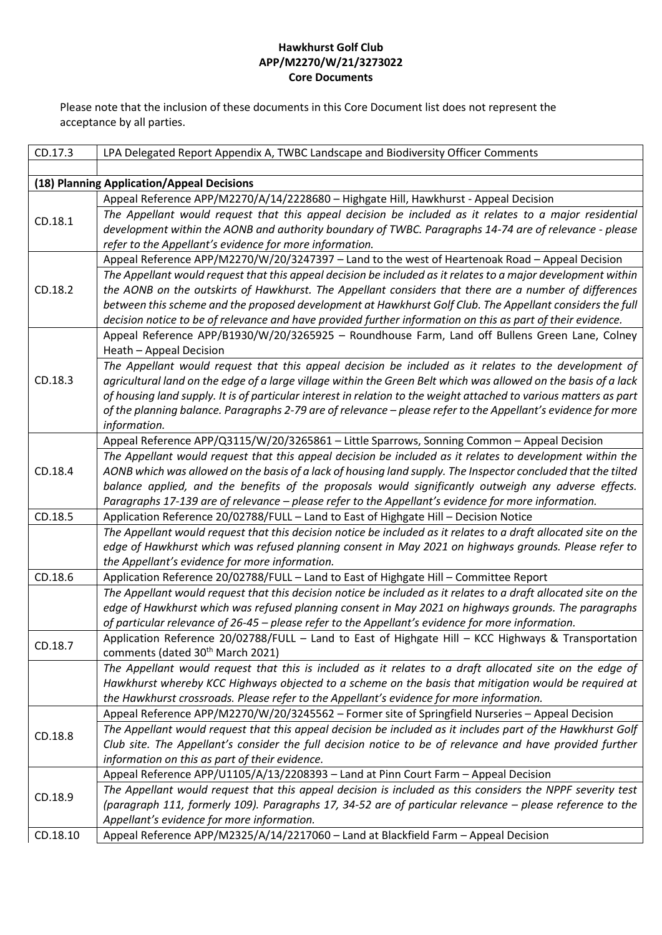| CD.17.3  | LPA Delegated Report Appendix A, TWBC Landscape and Biodiversity Officer Comments                                                                                                                                         |
|----------|---------------------------------------------------------------------------------------------------------------------------------------------------------------------------------------------------------------------------|
|          |                                                                                                                                                                                                                           |
|          | (18) Planning Application/Appeal Decisions                                                                                                                                                                                |
| CD.18.1  | Appeal Reference APP/M2270/A/14/2228680 - Highgate Hill, Hawkhurst - Appeal Decision                                                                                                                                      |
|          | The Appellant would request that this appeal decision be included as it relates to a major residential                                                                                                                    |
|          | development within the AONB and authority boundary of TWBC. Paragraphs 14-74 are of relevance - please                                                                                                                    |
|          | refer to the Appellant's evidence for more information.                                                                                                                                                                   |
|          | Appeal Reference APP/M2270/W/20/3247397 - Land to the west of Heartenoak Road - Appeal Decision                                                                                                                           |
| CD.18.2  | The Appellant would request that this appeal decision be included as it relates to a major development within<br>the AONB on the outskirts of Hawkhurst. The Appellant considers that there are a number of differences   |
|          | between this scheme and the proposed development at Hawkhurst Golf Club. The Appellant considers the full                                                                                                                 |
|          | decision notice to be of relevance and have provided further information on this as part of their evidence.                                                                                                               |
|          | Appeal Reference APP/B1930/W/20/3265925 - Roundhouse Farm, Land off Bullens Green Lane, Colney                                                                                                                            |
|          | Heath - Appeal Decision                                                                                                                                                                                                   |
|          | The Appellant would request that this appeal decision be included as it relates to the development of                                                                                                                     |
| CD.18.3  | agricultural land on the edge of a large village within the Green Belt which was allowed on the basis of a lack                                                                                                           |
|          | of housing land supply. It is of particular interest in relation to the weight attached to various matters as part                                                                                                        |
|          | of the planning balance. Paragraphs 2-79 are of relevance – please refer to the Appellant's evidence for more                                                                                                             |
|          | information.                                                                                                                                                                                                              |
|          | Appeal Reference APP/Q3115/W/20/3265861 - Little Sparrows, Sonning Common - Appeal Decision                                                                                                                               |
|          | The Appellant would request that this appeal decision be included as it relates to development within the                                                                                                                 |
| CD.18.4  | AONB which was allowed on the basis of a lack of housing land supply. The Inspector concluded that the tilted                                                                                                             |
|          | balance applied, and the benefits of the proposals would significantly outweigh any adverse effects.                                                                                                                      |
|          | Paragraphs 17-139 are of relevance - please refer to the Appellant's evidence for more information.                                                                                                                       |
| CD.18.5  | Application Reference 20/02788/FULL - Land to East of Highgate Hill - Decision Notice                                                                                                                                     |
|          | The Appellant would request that this decision notice be included as it relates to a draft allocated site on the<br>edge of Hawkhurst which was refused planning consent in May 2021 on highways grounds. Please refer to |
|          | the Appellant's evidence for more information.                                                                                                                                                                            |
| CD.18.6  | Application Reference 20/02788/FULL - Land to East of Highgate Hill - Committee Report                                                                                                                                    |
|          | The Appellant would request that this decision notice be included as it relates to a draft allocated site on the                                                                                                          |
|          | edge of Hawkhurst which was refused planning consent in May 2021 on highways grounds. The paragraphs                                                                                                                      |
|          | of particular relevance of 26-45 - please refer to the Appellant's evidence for more information.                                                                                                                         |
|          | Application Reference 20/02788/FULL - Land to East of Highgate Hill - KCC Highways & Transportation                                                                                                                       |
| CD.18.7  | comments (dated 30 <sup>th</sup> March 2021)                                                                                                                                                                              |
|          | The Appellant would request that this is included as it relates to a draft allocated site on the edge of                                                                                                                  |
|          | Hawkhurst whereby KCC Highways objected to a scheme on the basis that mitigation would be required at                                                                                                                     |
|          | the Hawkhurst crossroads. Please refer to the Appellant's evidence for more information.                                                                                                                                  |
| CD.18.8  | Appeal Reference APP/M2270/W/20/3245562 - Former site of Springfield Nurseries - Appeal Decision                                                                                                                          |
|          | The Appellant would request that this appeal decision be included as it includes part of the Hawkhurst Golf                                                                                                               |
|          | Club site. The Appellant's consider the full decision notice to be of relevance and have provided further                                                                                                                 |
|          | information on this as part of their evidence.                                                                                                                                                                            |
|          | Appeal Reference APP/U1105/A/13/2208393 - Land at Pinn Court Farm - Appeal Decision                                                                                                                                       |
| CD.18.9  | The Appellant would request that this appeal decision is included as this considers the NPPF severity test                                                                                                                |
|          | (paragraph 111, formerly 109). Paragraphs 17, 34-52 are of particular relevance – please reference to the                                                                                                                 |
|          | Appellant's evidence for more information.                                                                                                                                                                                |
| CD.18.10 | Appeal Reference APP/M2325/A/14/2217060 - Land at Blackfield Farm - Appeal Decision                                                                                                                                       |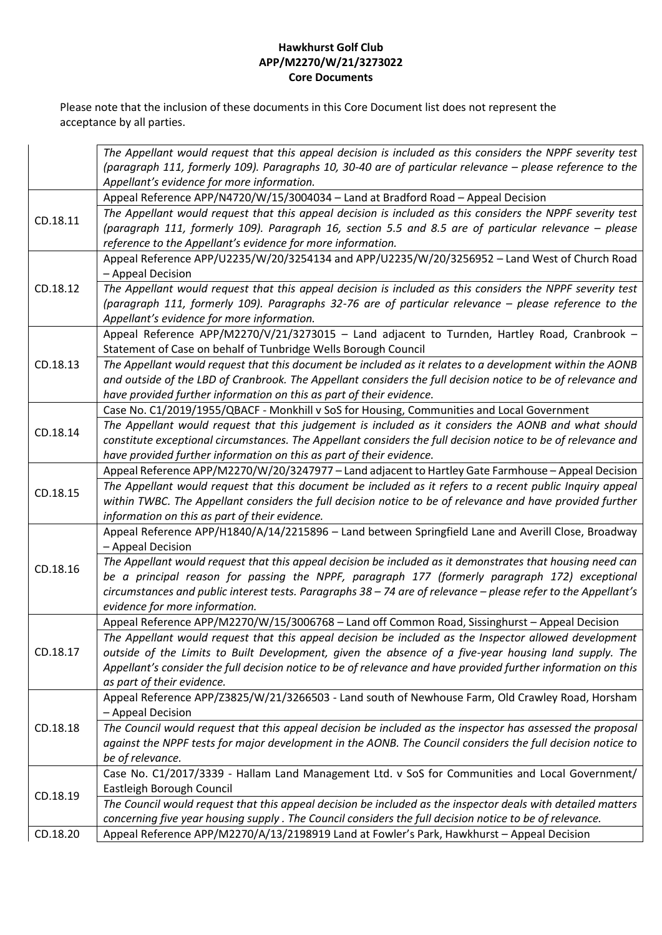|          | The Appellant would request that this appeal decision is included as this considers the NPPF severity test          |
|----------|---------------------------------------------------------------------------------------------------------------------|
|          | (paragraph 111, formerly 109). Paragraphs 10, 30-40 are of particular relevance - please reference to the           |
|          | Appellant's evidence for more information.                                                                          |
| CD.18.11 | Appeal Reference APP/N4720/W/15/3004034 - Land at Bradford Road - Appeal Decision                                   |
|          | The Appellant would request that this appeal decision is included as this considers the NPPF severity test          |
|          | (paragraph 111, formerly 109). Paragraph 16, section 5.5 and 8.5 are of particular relevance - please               |
|          | reference to the Appellant's evidence for more information.                                                         |
|          | Appeal Reference APP/U2235/W/20/3254134 and APP/U2235/W/20/3256952 - Land West of Church Road                       |
| CD.18.12 | - Appeal Decision                                                                                                   |
|          | The Appellant would request that this appeal decision is included as this considers the NPPF severity test          |
|          | (paragraph 111, formerly 109). Paragraphs 32-76 are of particular relevance - please reference to the               |
|          | Appellant's evidence for more information.                                                                          |
|          | Appeal Reference APP/M2270/V/21/3273015 - Land adjacent to Turnden, Hartley Road, Cranbrook -                       |
|          | Statement of Case on behalf of Tunbridge Wells Borough Council                                                      |
| CD.18.13 | The Appellant would request that this document be included as it relates to a development within the AONB           |
|          | and outside of the LBD of Cranbrook. The Appellant considers the full decision notice to be of relevance and        |
|          | have provided further information on this as part of their evidence.                                                |
|          | Case No. C1/2019/1955/QBACF - Monkhill v SoS for Housing, Communities and Local Government                          |
| CD.18.14 | The Appellant would request that this judgement is included as it considers the AONB and what should                |
|          | constitute exceptional circumstances. The Appellant considers the full decision notice to be of relevance and       |
|          | have provided further information on this as part of their evidence.                                                |
|          | Appeal Reference APP/M2270/W/20/3247977 - Land adjacent to Hartley Gate Farmhouse - Appeal Decision                 |
| CD.18.15 | The Appellant would request that this document be included as it refers to a recent public Inquiry appeal           |
|          | within TWBC. The Appellant considers the full decision notice to be of relevance and have provided further          |
|          | information on this as part of their evidence.                                                                      |
|          | Appeal Reference APP/H1840/A/14/2215896 - Land between Springfield Lane and Averill Close, Broadway                 |
|          | - Appeal Decision                                                                                                   |
| CD.18.16 | The Appellant would request that this appeal decision be included as it demonstrates that housing need can          |
|          | be a principal reason for passing the NPPF, paragraph 177 (formerly paragraph 172) exceptional                      |
|          | circumstances and public interest tests. Paragraphs 38 - 74 are of relevance - please refer to the Appellant's      |
|          | evidence for more information.                                                                                      |
| CD.18.17 | Appeal Reference APP/M2270/W/15/3006768 - Land off Common Road, Sissinghurst - Appeal Decision                      |
|          | The Appellant would request that this appeal decision be included as the Inspector allowed development              |
|          | outside of the Limits to Built Development, given the absence of a five-year housing land supply. The               |
|          | Appellant's consider the full decision notice to be of relevance and have provided further information on this      |
|          | as part of their evidence.                                                                                          |
| CD.18.18 | Appeal Reference APP/Z3825/W/21/3266503 - Land south of Newhouse Farm, Old Crawley Road, Horsham                    |
|          | - Appeal Decision                                                                                                   |
|          | The Council would request that this appeal decision be included as the inspector has assessed the proposal          |
|          | against the NPPF tests for major development in the AONB. The Council considers the full decision notice to         |
|          | be of relevance.<br>Case No. C1/2017/3339 - Hallam Land Management Ltd. v SoS for Communities and Local Government/ |
|          | Eastleigh Borough Council                                                                                           |
| CD.18.19 | The Council would request that this appeal decision be included as the inspector deals with detailed matters        |
|          | concerning five year housing supply . The Council considers the full decision notice to be of relevance.            |
| CD.18.20 | Appeal Reference APP/M2270/A/13/2198919 Land at Fowler's Park, Hawkhurst - Appeal Decision                          |
|          |                                                                                                                     |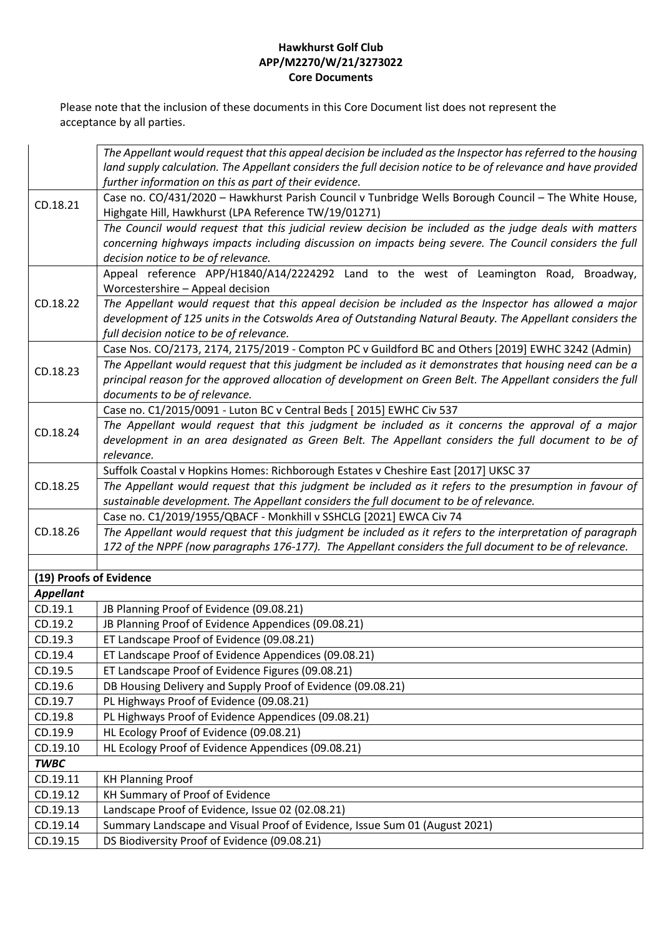|                         | The Appellant would request that this appeal decision be included as the Inspector has referred to the housing                                                                                                                                           |
|-------------------------|----------------------------------------------------------------------------------------------------------------------------------------------------------------------------------------------------------------------------------------------------------|
|                         | land supply calculation. The Appellant considers the full decision notice to be of relevance and have provided                                                                                                                                           |
|                         | further information on this as part of their evidence.                                                                                                                                                                                                   |
| CD.18.21                | Case no. CO/431/2020 - Hawkhurst Parish Council v Tunbridge Wells Borough Council - The White House,                                                                                                                                                     |
|                         | Highgate Hill, Hawkhurst (LPA Reference TW/19/01271)                                                                                                                                                                                                     |
|                         | The Council would request that this judicial review decision be included as the judge deals with matters                                                                                                                                                 |
|                         | concerning highways impacts including discussion on impacts being severe. The Council considers the full                                                                                                                                                 |
|                         | decision notice to be of relevance.                                                                                                                                                                                                                      |
|                         | Appeal reference APP/H1840/A14/2224292 Land to the west of Leamington Road, Broadway,<br>Worcestershire - Appeal decision                                                                                                                                |
| CD.18.22                | The Appellant would request that this appeal decision be included as the Inspector has allowed a major                                                                                                                                                   |
|                         | development of 125 units in the Cotswolds Area of Outstanding Natural Beauty. The Appellant considers the                                                                                                                                                |
|                         | full decision notice to be of relevance.                                                                                                                                                                                                                 |
|                         | Case Nos. CO/2173, 2174, 2175/2019 - Compton PC v Guildford BC and Others [2019] EWHC 3242 (Admin)                                                                                                                                                       |
| CD.18.23                | The Appellant would request that this judgment be included as it demonstrates that housing need can be a<br>principal reason for the approved allocation of development on Green Belt. The Appellant considers the full<br>documents to be of relevance. |
|                         | Case no. C1/2015/0091 - Luton BC v Central Beds [ 2015] EWHC Civ 537                                                                                                                                                                                     |
| CD.18.24                | The Appellant would request that this judgment be included as it concerns the approval of a major                                                                                                                                                        |
|                         | development in an area designated as Green Belt. The Appellant considers the full document to be of                                                                                                                                                      |
|                         | relevance.                                                                                                                                                                                                                                               |
|                         | Suffolk Coastal v Hopkins Homes: Richborough Estates v Cheshire East [2017] UKSC 37                                                                                                                                                                      |
| CD.18.25                | The Appellant would request that this judgment be included as it refers to the presumption in favour of                                                                                                                                                  |
|                         | sustainable development. The Appellant considers the full document to be of relevance.                                                                                                                                                                   |
|                         | Case no. C1/2019/1955/QBACF - Monkhill v SSHCLG [2021] EWCA Civ 74                                                                                                                                                                                       |
| CD.18.26                | The Appellant would request that this judgment be included as it refers to the interpretation of paragraph                                                                                                                                               |
|                         | 172 of the NPPF (now paragraphs 176-177). The Appellant considers the full document to be of relevance.                                                                                                                                                  |
| (19) Proofs of Evidence |                                                                                                                                                                                                                                                          |
| <b>Appellant</b>        |                                                                                                                                                                                                                                                          |
| CD.19.1                 | JB Planning Proof of Evidence (09.08.21)                                                                                                                                                                                                                 |
| CD.19.2                 | JB Planning Proof of Evidence Appendices (09.08.21)                                                                                                                                                                                                      |
| CD.19.3                 | ET Landscape Proof of Evidence (09.08.21)                                                                                                                                                                                                                |
| CD.19.4                 | ET Landscape Proof of Evidence Appendices (09.08.21)                                                                                                                                                                                                     |
| CD.19.5                 | ET Landscape Proof of Evidence Figures (09.08.21)                                                                                                                                                                                                        |
| CD.19.6                 | DB Housing Delivery and Supply Proof of Evidence (09.08.21)                                                                                                                                                                                              |
| CD.19.7                 | PL Highways Proof of Evidence (09.08.21)                                                                                                                                                                                                                 |
| CD.19.8                 | PL Highways Proof of Evidence Appendices (09.08.21)                                                                                                                                                                                                      |
| CD.19.9                 | HL Ecology Proof of Evidence (09.08.21)                                                                                                                                                                                                                  |
| CD.19.10                | HL Ecology Proof of Evidence Appendices (09.08.21)                                                                                                                                                                                                       |
| <b>TWBC</b>             |                                                                                                                                                                                                                                                          |
| CD.19.11                | <b>KH Planning Proof</b>                                                                                                                                                                                                                                 |
| CD.19.12                | KH Summary of Proof of Evidence                                                                                                                                                                                                                          |
| CD.19.13                | Landscape Proof of Evidence, Issue 02 (02.08.21)                                                                                                                                                                                                         |
| CD.19.14                | Summary Landscape and Visual Proof of Evidence, Issue Sum 01 (August 2021)                                                                                                                                                                               |
| CD.19.15                | DS Biodiversity Proof of Evidence (09.08.21)                                                                                                                                                                                                             |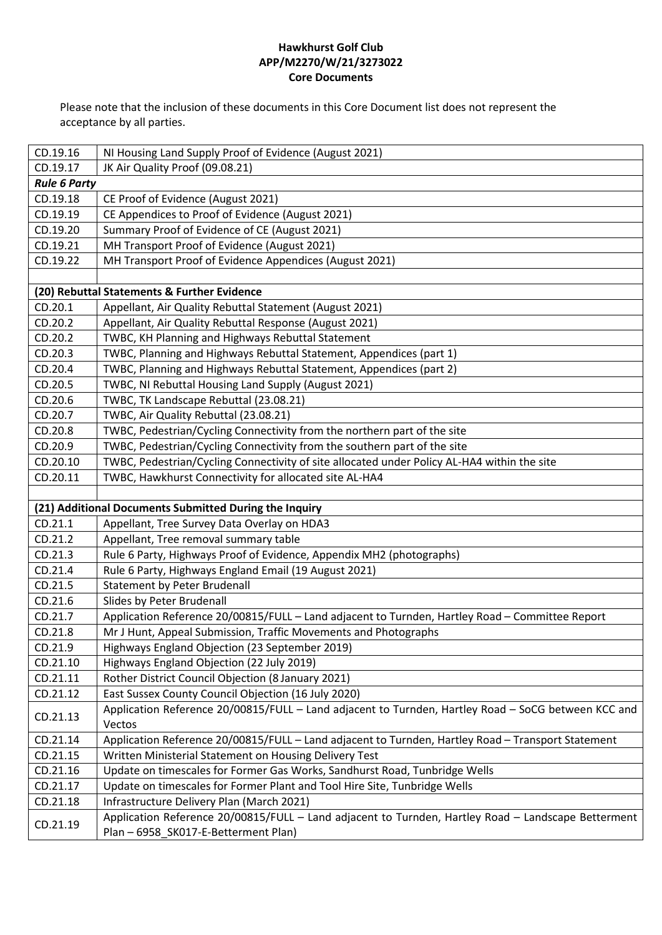| CD.19.16            | NI Housing Land Supply Proof of Evidence (August 2021)                                                        |
|---------------------|---------------------------------------------------------------------------------------------------------------|
| CD.19.17            | JK Air Quality Proof (09.08.21)                                                                               |
| <b>Rule 6 Party</b> |                                                                                                               |
| CD.19.18            | CE Proof of Evidence (August 2021)                                                                            |
| CD.19.19            | CE Appendices to Proof of Evidence (August 2021)                                                              |
| CD.19.20            | Summary Proof of Evidence of CE (August 2021)                                                                 |
| CD.19.21            | MH Transport Proof of Evidence (August 2021)                                                                  |
| CD.19.22            | MH Transport Proof of Evidence Appendices (August 2021)                                                       |
|                     |                                                                                                               |
|                     | (20) Rebuttal Statements & Further Evidence                                                                   |
| CD.20.1             | Appellant, Air Quality Rebuttal Statement (August 2021)                                                       |
| CD.20.2             | Appellant, Air Quality Rebuttal Response (August 2021)                                                        |
| CD.20.2             | TWBC, KH Planning and Highways Rebuttal Statement                                                             |
| CD.20.3             | TWBC, Planning and Highways Rebuttal Statement, Appendices (part 1)                                           |
| CD.20.4             | TWBC, Planning and Highways Rebuttal Statement, Appendices (part 2)                                           |
| CD.20.5             | TWBC, NI Rebuttal Housing Land Supply (August 2021)                                                           |
| CD.20.6             | TWBC, TK Landscape Rebuttal (23.08.21)                                                                        |
| CD.20.7             | TWBC, Air Quality Rebuttal (23.08.21)                                                                         |
| CD.20.8             | TWBC, Pedestrian/Cycling Connectivity from the northern part of the site                                      |
| CD.20.9             | TWBC, Pedestrian/Cycling Connectivity from the southern part of the site                                      |
| CD.20.10            | TWBC, Pedestrian/Cycling Connectivity of site allocated under Policy AL-HA4 within the site                   |
| CD.20.11            | TWBC, Hawkhurst Connectivity for allocated site AL-HA4                                                        |
|                     |                                                                                                               |
|                     | (21) Additional Documents Submitted During the Inquiry                                                        |
| CD.21.1             | Appellant, Tree Survey Data Overlay on HDA3                                                                   |
| CD.21.2             | Appellant, Tree removal summary table                                                                         |
| CD.21.3             | Rule 6 Party, Highways Proof of Evidence, Appendix MH2 (photographs)                                          |
| CD.21.4             | Rule 6 Party, Highways England Email (19 August 2021)                                                         |
| CD.21.5             | <b>Statement by Peter Brudenall</b>                                                                           |
| CD.21.6             | Slides by Peter Brudenall                                                                                     |
| CD.21.7             | Application Reference 20/00815/FULL - Land adjacent to Turnden, Hartley Road - Committee Report               |
| CD.21.8             | Mr J Hunt, Appeal Submission, Traffic Movements and Photographs                                               |
| CD.21.9             | Highways England Objection (23 September 2019)                                                                |
| CD.21.10            | Highways England Objection (22 July 2019)                                                                     |
| CD.21.11            | Rother District Council Objection (8 January 2021)                                                            |
| CD.21.12            | East Sussex County Council Objection (16 July 2020)                                                           |
| CD.21.13            | Application Reference 20/00815/FULL - Land adjacent to Turnden, Hartley Road - SoCG between KCC and<br>Vectos |
| CD.21.14            | Application Reference 20/00815/FULL - Land adjacent to Turnden, Hartley Road - Transport Statement            |
| CD.21.15            | Written Ministerial Statement on Housing Delivery Test                                                        |
| CD.21.16            | Update on timescales for Former Gas Works, Sandhurst Road, Tunbridge Wells                                    |
| CD.21.17            | Update on timescales for Former Plant and Tool Hire Site, Tunbridge Wells                                     |
| CD.21.18            | Infrastructure Delivery Plan (March 2021)                                                                     |
|                     | Application Reference 20/00815/FULL - Land adjacent to Turnden, Hartley Road - Landscape Betterment           |
| CD.21.19            | Plan - 6958_SK017-E-Betterment Plan)                                                                          |